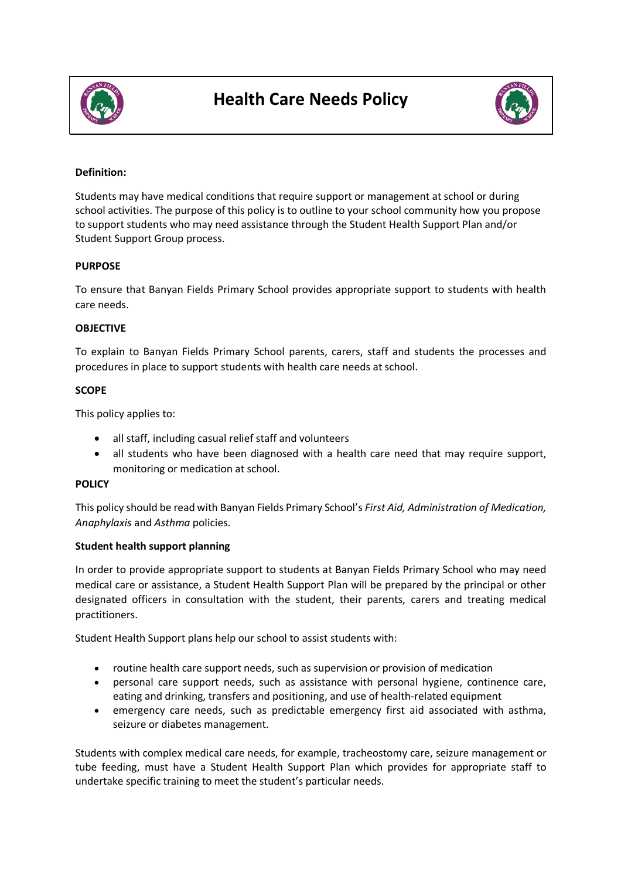



# **Definition:**

Students may have medical conditions that require support or management at school or during school activities. The purpose of this policy is to outline to your school community how you propose to support students who may need assistance through the Student Health Support Plan and/or Student Support Group process.

## **PURPOSE**

To ensure that Banyan Fields Primary School provides appropriate support to students with health care needs.

## **OBJECTIVE**

To explain to Banyan Fields Primary School parents, carers, staff and students the processes and procedures in place to support students with health care needs at school.

## **SCOPE**

This policy applies to:

- all staff, including casual relief staff and volunteers
- all students who have been diagnosed with a health care need that may require support, monitoring or medication at school.

#### **POLICY**

This policy should be read with Banyan Fields Primary School's *First Aid, Administration of Medication, Anaphylaxis* and *Asthma* policies.

#### **Student health support planning**

In order to provide appropriate support to students at Banyan Fields Primary School who may need medical care or assistance, a Student Health Support Plan will be prepared by the principal or other designated officers in consultation with the student, their parents, carers and treating medical practitioners.

Student Health Support plans help our school to assist students with:

- routine health care support needs, such as supervision or provision of medication
- personal care support needs, such as assistance with personal hygiene, continence care, eating and drinking, transfers and positioning, and use of health-related equipment
- emergency care needs, such as predictable emergency first aid associated with asthma, seizure or diabetes management.

Students with complex medical care needs, for example, tracheostomy care, seizure management or tube feeding, must have a Student Health Support Plan which provides for appropriate staff to undertake specific training to meet the student's particular needs.